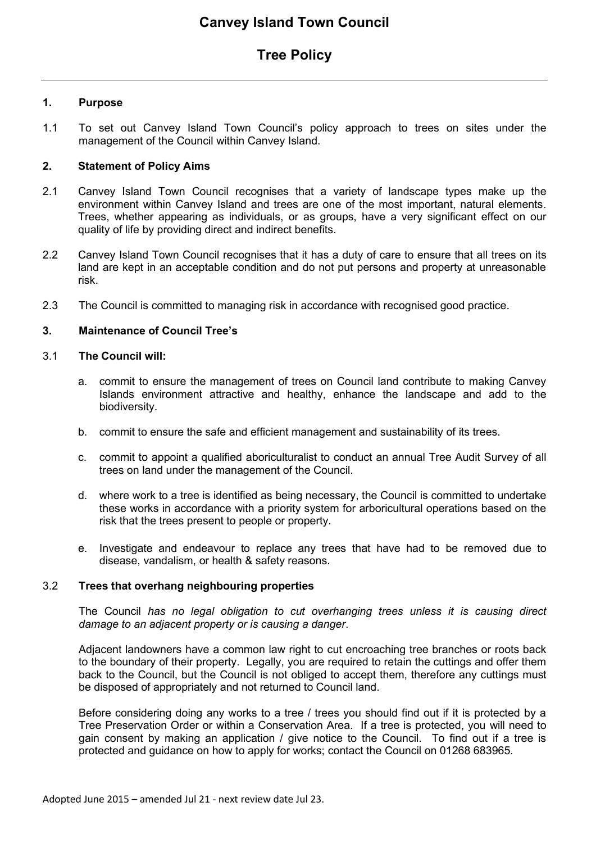# **Tree Policy**

# **1. Purpose**

1.1 To set out Canvey Island Town Council's policy approach to trees on sites under the management of the Council within Canvey Island.

# **2. Statement of Policy Aims**

- 2.1 Canvey Island Town Council recognises that a variety of landscape types make up the environment within Canvey Island and trees are one of the most important, natural elements. Trees, whether appearing as individuals, or as groups, have a very significant effect on our quality of life by providing direct and indirect benefits.
- 2.2 Canvey Island Town Council recognises that it has a duty of care to ensure that all trees on its land are kept in an acceptable condition and do not put persons and property at unreasonable risk.
- 2.3 The Council is committed to managing risk in accordance with recognised good practice.

# **3. Maintenance of Council Tree's**

#### 3.1 **The Council will:**

- a. commit to ensure the management of trees on Council land contribute to making Canvey Islands environment attractive and healthy, enhance the landscape and add to the biodiversity.
- b. commit to ensure the safe and efficient management and sustainability of its trees.
- c. commit to appoint a qualified aboriculturalist to conduct an annual Tree Audit Survey of all trees on land under the management of the Council.
- d. where work to a tree is identified as being necessary, the Council is committed to undertake these works in accordance with a priority system for arboricultural operations based on the risk that the trees present to people or property.
- e. Investigate and endeavour to replace any trees that have had to be removed due to disease, vandalism, or health & safety reasons.

# 3.2 **Trees that overhang neighbouring properties**

The Council *has no legal obligation to cut overhanging trees unless it is causing direct damage to an adjacent property or is causing a danger*.

Adjacent landowners have a common law right to cut encroaching tree branches or roots back to the boundary of their property. Legally, you are required to retain the cuttings and offer them back to the Council, but the Council is not obliged to accept them, therefore any cuttings must be disposed of appropriately and not returned to Council land.

Before considering doing any works to a tree / trees you should find out if it is protected by a Tree Preservation Order or within a Conservation Area. If a tree is protected, you will need to gain consent by making an application / give notice to the Council. To find out if a tree is protected and guidance on how to apply for works; contact the Council on 01268 683965.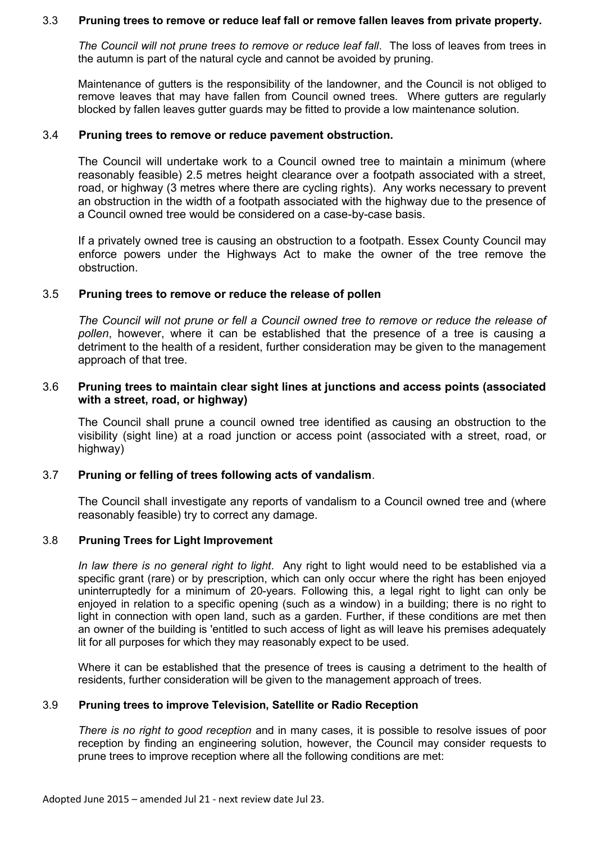#### 3.3 **Pruning trees to remove or reduce leaf fall or remove fallen leaves from private property.**

*The Council will not prune trees to remove or reduce leaf fall*. The loss of leaves from trees in the autumn is part of the natural cycle and cannot be avoided by pruning.

Maintenance of gutters is the responsibility of the landowner, and the Council is not obliged to remove leaves that may have fallen from Council owned trees. Where gutters are regularly blocked by fallen leaves gutter guards may be fitted to provide a low maintenance solution.

#### 3.4 **Pruning trees to remove or reduce pavement obstruction.**

The Council will undertake work to a Council owned tree to maintain a minimum (where reasonably feasible) 2.5 metres height clearance over a footpath associated with a street, road, or highway (3 metres where there are cycling rights). Any works necessary to prevent an obstruction in the width of a footpath associated with the highway due to the presence of a Council owned tree would be considered on a case-by-case basis.

If a privately owned tree is causing an obstruction to a footpath. Essex County Council may enforce powers under the Highways Act to make the owner of the tree remove the obstruction.

### 3.5 **Pruning trees to remove or reduce the release of pollen**

*The Council will not prune or fell a Council owned tree to remove or reduce the release of pollen*, however, where it can be established that the presence of a tree is causing a detriment to the health of a resident, further consideration may be given to the management approach of that tree.

### 3.6 **Pruning trees to maintain clear sight lines at junctions and access points (associated with a street, road, or highway)**

The Council shall prune a council owned tree identified as causing an obstruction to the visibility (sight line) at a road junction or access point (associated with a street, road, or highway)

# 3.7 **Pruning or felling of trees following acts of vandalism**.

The Council shall investigate any reports of vandalism to a Council owned tree and (where reasonably feasible) try to correct any damage.

# 3.8 **Pruning Trees for Light Improvement**

*In law there is no general right to light*. Any right to light would need to be established via a specific grant (rare) or by prescription, which can only occur where the right has been enjoyed uninterruptedly for a minimum of 20-years. Following this, a legal right to light can only be enjoyed in relation to a specific opening (such as a window) in a building; there is no right to light in connection with open land, such as a garden. Further, if these conditions are met then an owner of the building is 'entitled to such access of light as will leave his premises adequately lit for all purposes for which they may reasonably expect to be used.

Where it can be established that the presence of trees is causing a detriment to the health of residents, further consideration will be given to the management approach of trees.

#### 3.9 **Pruning trees to improve Television, Satellite or Radio Reception**

*There is no right to good reception* and in many cases, it is possible to resolve issues of poor reception by finding an engineering solution, however, the Council may consider requests to prune trees to improve reception where all the following conditions are met: